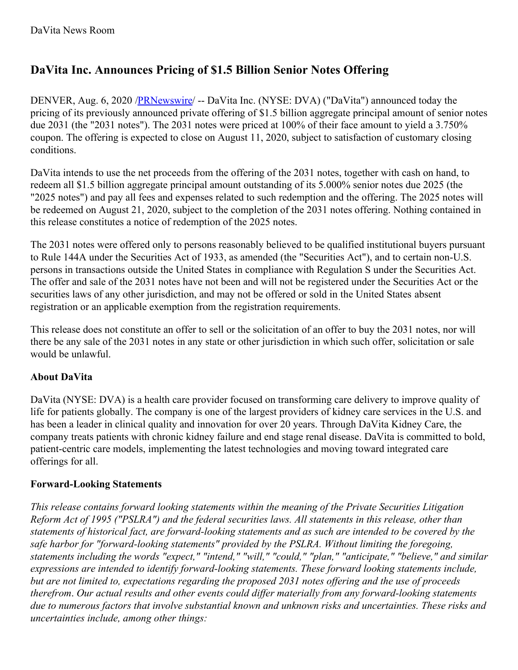## **DaVita Inc. Announces Pricing of \$1.5 Billion Senior Notes Offering**

DENVER, Aug. 6, 2020 [/PRNewswire](http://www.prnewswire.com/)/ -- DaVita Inc. (NYSE: DVA) ("DaVita") announced today the pricing of its previously announced private offering of \$1.5 billion aggregate principal amount of senior notes due 2031 (the "2031 notes"). The 2031 notes were priced at 100% of their face amount to yield a 3.750% coupon. The offering is expected to close on August 11, 2020, subject to satisfaction of customary closing conditions.

DaVita intends to use the net proceeds from the offering of the 2031 notes, together with cash on hand, to redeem all \$1.5 billion aggregate principal amount outstanding of its 5.000% senior notes due 2025 (the "2025 notes") and pay all fees and expenses related to such redemption and the offering. The 2025 notes will be redeemed on August 21, 2020, subject to the completion of the 2031 notes offering. Nothing contained in this release constitutes a notice of redemption of the 2025 notes.

The 2031 notes were offered only to persons reasonably believed to be qualified institutional buyers pursuant to Rule 144A under the Securities Act of 1933, as amended (the "Securities Act"), and to certain non-U.S. persons in transactions outside the United States in compliance with Regulation S under the Securities Act. The offer and sale of the 2031 notes have not been and will not be registered under the Securities Act or the securities laws of any other jurisdiction, and may not be offered or sold in the United States absent registration or an applicable exemption from the registration requirements.

This release does not constitute an offer to sell or the solicitation of an offer to buy the 2031 notes, nor will there be any sale of the 2031 notes in any state or other jurisdiction in which such offer, solicitation or sale would be unlawful.

## **About DaVita**

DaVita (NYSE: DVA) is a health care provider focused on transforming care delivery to improve quality of life for patients globally. The company is one of the largest providers of kidney care services in the U.S. and has been a leader in clinical quality and innovation for over 20 years. Through DaVita Kidney Care, the company treats patients with chronic kidney failure and end stage renal disease. DaVita is committed to bold, patient-centric care models, implementing the latest technologies and moving toward integrated care offerings for all.

## **Forward-Looking Statements**

*This release contains forward looking statements within the meaning of the Private Securities Litigation Reform Act of 1995 ("PSLRA") and the federal securities laws. All statements in this release, other than* statements of historical fact, are forward-looking statements and as such are intended to be covered by the *safe harbor for "forward-looking statements" provided by the PSLRA. Without limiting the foregoing, statements including the words "expect," "intend," "will," "could," "plan," "anticipate," "believe," and similar expressions are intended to identify forward-looking statements. These forward looking statements include,* but are not limited to, expectations regarding the proposed 2031 notes offering and the use of proceeds *therefrom*. *Our actual results and other events could dif er materially from any forward-looking statements due to numerous factors that involve substantial known and unknown risks and uncertainties. These risks and uncertainties include, among other things:*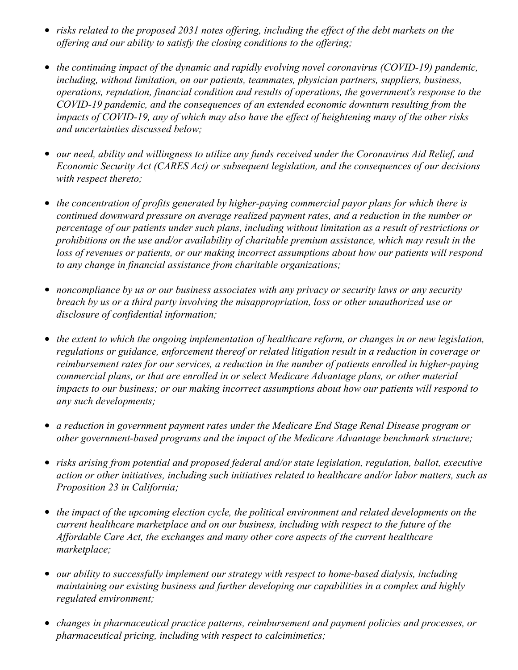- risks related to the proposed 2031 notes offering, including the effect of the debt markets on the *of ering and our ability to satisfy the closing conditions to the of ering;*
- *the continuing impact of the dynamic and rapidly evolving novel coronavirus (COVID-19) pandemic, including, without limitation, on our patients, teammates, physician partners, suppliers, business, operations, reputation, financial condition and results of operations, the government's response to the COVID-19 pandemic, and the consequences of an extended economic downturn resulting from the* impacts of COVID-19, any of which may also have the effect of heightening many of the other risks *and uncertainties discussed below;*
- *our need, ability and willingness to utilize any funds received under the Coronavirus Aid Relief, and Economic Security Act (CARES Act) or subsequent legislation, and the consequences of our decisions with respect thereto;*
- *the concentration of profits generated by higher-paying commercial payor plans for which there is continued downward pressure on average realized payment rates, and a reduction in the number or percentage of our patients under such plans, including without limitation as a result of restrictions or prohibitions on the use and/or availability of charitable premium assistance, which may result in the loss of revenues or patients, or our making incorrect assumptions about how our patients will respond to any change in financial assistance from charitable organizations;*
- *noncompliance by us or our business associates with any privacy or security laws or any security breach by us or a third party involving the misappropriation, loss or other unauthorized use or disclosure of confidential information;*
- *the extent to which the ongoing implementation of healthcare reform, or changes in or new legislation, regulations or guidance, enforcement thereof or related litigation result in a reduction in coverage or reimbursement rates for our services, a reduction in the number of patients enrolled in higher-paying commercial plans, or that are enrolled in or select Medicare Advantage plans, or other material impacts to our business; or our making incorrect assumptions about how our patients will respond to any such developments;*
- *a reduction in government payment rates under the Medicare End Stage Renal Disease program or other government-based programs and the impact of the Medicare Advantage benchmark structure;*
- *risks arising from potential and proposed federal and/or state legislation, regulation, ballot, executive action or other initiatives, including such initiatives related to healthcare and/or labor matters, such as Proposition 23 in California;*
- *the impact of the upcoming election cycle, the political environment and related developments on the current healthcare marketplace and on our business, including with respect to the future of the Af ordable Care Act, the exchanges and many other core aspects of the current healthcare marketplace;*
- *our ability to successfully implement our strategy with respect to home-based dialysis, including maintaining our existing business and further developing our capabilities in a complex and highly regulated environment;*
- *changes in pharmaceutical practice patterns, reimbursement and payment policies and processes, or pharmaceutical pricing, including with respect to calcimimetics;*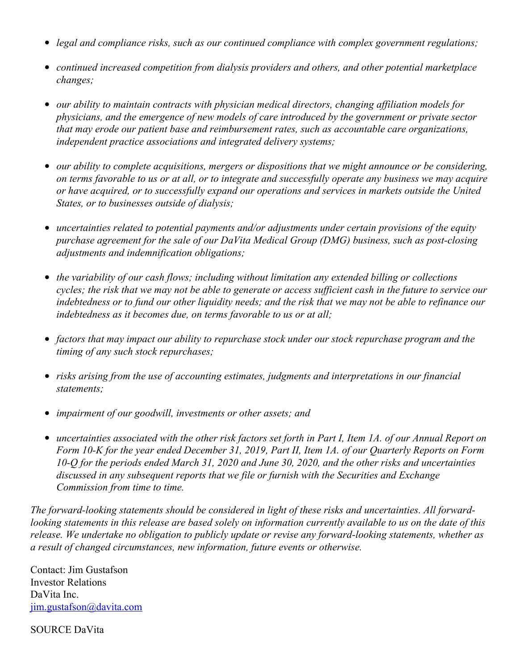- *legal and compliance risks, such as our continued compliance with complex government regulations;*
- *continued increased competition from dialysis providers and others, and other potential marketplace changes;*
- *our ability to maintain contracts with physician medical directors, changing af iliation models for physicians, and the emergence of new models of care introduced by the government or private sector that may erode our patient base and reimbursement rates, such as accountable care organizations, independent practice associations and integrated delivery systems;*
- *our ability to complete acquisitions, mergers or dispositions that we might announce or be considering,* on terms favorable to us or at all, or to integrate and successfully operate any business we may acquire *or have acquired, or to successfully expand our operations and services in markets outside the United States, or to businesses outside of dialysis;*
- *uncertainties related to potential payments and/or adjustments under certain provisions of the equity*  $\bullet$ *purchase agreement for the sale of our DaVita Medical Group (DMG) business, such as post-closing adjustments and indemnification obligations;*
- *the variability of our cash flows; including without limitation any extended billing or collections* cycles; the risk that we may not be able to generate or access sufficient cash in the future to service our indebtedness or to fund our other liquidity needs; and the risk that we may not be able to refinance our *indebtedness as it becomes due, on terms favorable to us or at all;*
- *factors that may impact our ability to repurchase stock under our stock repurchase program and the timing of any such stock repurchases;*
- *risks arising from the use of accounting estimates, judgments and interpretations in our financial statements;*
- *impairment of our goodwill, investments or other assets; and*
- uncertainties associated with the other risk factors set forth in Part I, Item 1A. of our Annual Report on Form 10-K for the year ended December 31, 2019, Part II, Item 1A. of our Quarterly Reports on Form *10-Q for the periods ended March 31, 2020 and June 30, 2020, and the other risks and uncertainties discussed in any subsequent reports that we file or furnish with the Securities and Exchange Commission from time to time.*

*The forward-looking statements should be considered in light of these risks and uncertainties. All forward*looking statements in this release are based solely on information currently available to us on the date of this *release. We undertake no obligation to publicly update or revise any forward-looking statements, whether as a result of changed circumstances, new information, future events or otherwise.*

Contact: Jim Gustafson Investor Relations DaVita Inc. [jim.gustafson@davita.com](mailto:jim.gustafson@davita.com)

SOURCE DaVita